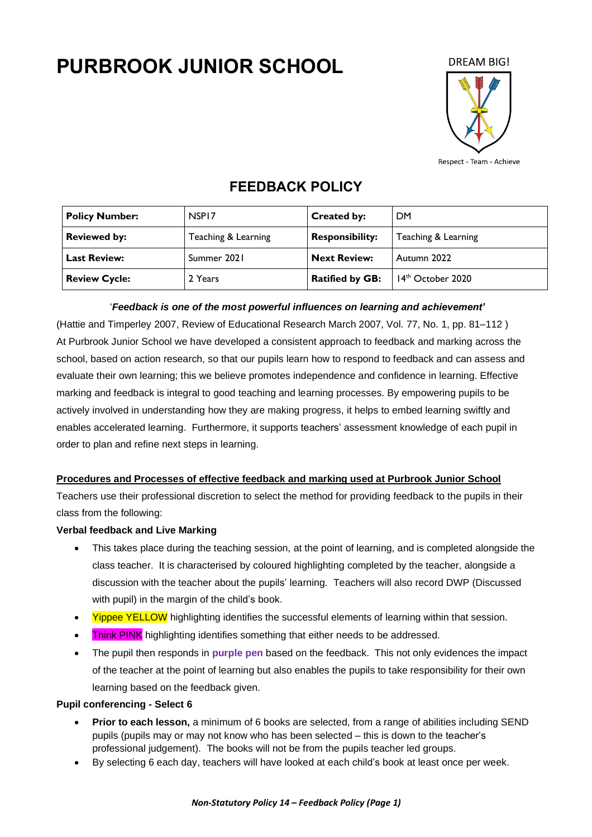# **PURBROOK JUNIOR SCHOOL**

**DREAM BIG!** 



Respect - Team - Achieve

# **FEEDBACK POLICY**

| <b>Policy Number:</b> | NSP <sub>17</sub>   | <b>Created by:</b>     | <b>DM</b>           |
|-----------------------|---------------------|------------------------|---------------------|
| <b>Reviewed by:</b>   | Teaching & Learning | <b>Responsibility:</b> | Teaching & Learning |
| <b>Last Review:</b>   | Summer 2021         | <b>Next Review:</b>    | Autumn 2022         |
| <b>Review Cycle:</b>  | 2 Years             | <b>Ratified by GB:</b> | $14th$ October 2020 |

# '*Feedback is one of the most powerful influences on learning and achievement'*

(Hattie and Timperley 2007, Review of Educational Research March 2007, Vol. 77, No. 1, pp. 81–112 ) At Purbrook Junior School we have developed a consistent approach to feedback and marking across the school, based on action research, so that our pupils learn how to respond to feedback and can assess and evaluate their own learning; this we believe promotes independence and confidence in learning. Effective marking and feedback is integral to good teaching and learning processes. By empowering pupils to be actively involved in understanding how they are making progress, it helps to embed learning swiftly and enables accelerated learning. Furthermore, it supports teachers' assessment knowledge of each pupil in order to plan and refine next steps in learning.

# **Procedures and Processes of effective feedback and marking used at Purbrook Junior School**

Teachers use their professional discretion to select the method for providing feedback to the pupils in their class from the following:

# **Verbal feedback and Live Marking**

- This takes place during the teaching session, at the point of learning, and is completed alongside the class teacher. It is characterised by coloured highlighting completed by the teacher, alongside a discussion with the teacher about the pupils' learning. Teachers will also record DWP (Discussed with pupil) in the margin of the child's book.
- Yippee YELLOW highlighting identifies the successful elements of learning within that session.
- Think PINK highlighting identifies something that either needs to be addressed.
- The pupil then responds in **purple pen** based on the feedback. This not only evidences the impact of the teacher at the point of learning but also enables the pupils to take responsibility for their own learning based on the feedback given.

# **Pupil conferencing - Select 6**

- **Prior to each lesson,** a minimum of 6 books are selected, from a range of abilities including SEND pupils (pupils may or may not know who has been selected – this is down to the teacher's professional judgement). The books will not be from the pupils teacher led groups.
- By selecting 6 each day, teachers will have looked at each child's book at least once per week.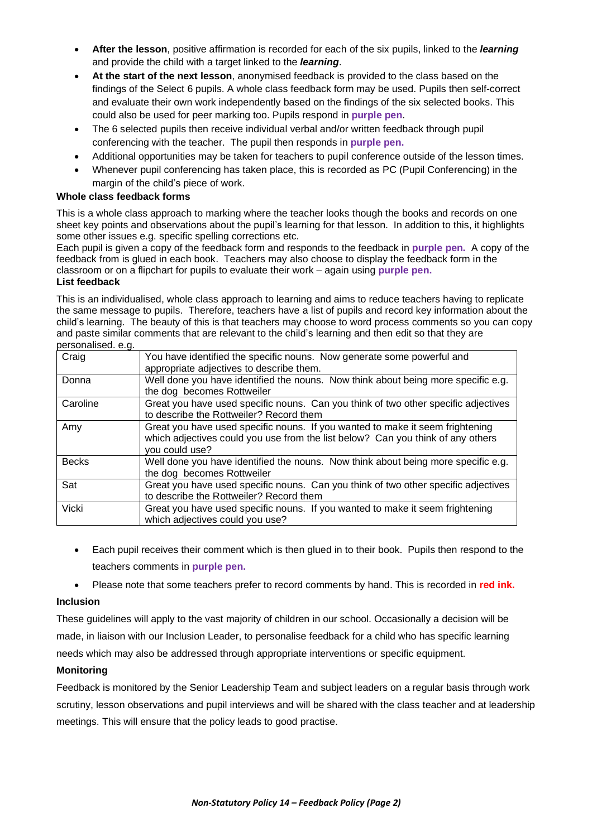- **After the lesson**, positive affirmation is recorded for each of the six pupils, linked to the *learning* and provide the child with a target linked to the *learning*.
- **At the start of the next lesson**, anonymised feedback is provided to the class based on the findings of the Select 6 pupils. A whole class feedback form may be used. Pupils then self-correct and evaluate their own work independently based on the findings of the six selected books. This could also be used for peer marking too. Pupils respond in **purple pen**.
- The 6 selected pupils then receive individual verbal and/or written feedback through pupil conferencing with the teacher. The pupil then responds in **purple pen.**
- Additional opportunities may be taken for teachers to pupil conference outside of the lesson times.
- Whenever pupil conferencing has taken place, this is recorded as PC (Pupil Conferencing) in the margin of the child's piece of work.

#### **Whole class feedback forms**

This is a whole class approach to marking where the teacher looks though the books and records on one sheet key points and observations about the pupil's learning for that lesson. In addition to this, it highlights some other issues e.g. specific spelling corrections etc.

Each pupil is given a copy of the feedback form and responds to the feedback in **purple pen.** A copy of the feedback from is glued in each book. Teachers may also choose to display the feedback form in the classroom or on a flipchart for pupils to evaluate their work – again using **purple pen.**

#### **List feedback**

This is an individualised, whole class approach to learning and aims to reduce teachers having to replicate the same message to pupils. Therefore, teachers have a list of pupils and record key information about the child's learning. The beauty of this is that teachers may choose to word process comments so you can copy and paste similar comments that are relevant to the child's learning and then edit so that they are personalised. e.g.

| Craig                                   | You have identified the specific nouns. Now generate some powerful and<br>appropriate adjectives to describe them.                                                                 |  |  |  |  |
|-----------------------------------------|------------------------------------------------------------------------------------------------------------------------------------------------------------------------------------|--|--|--|--|
| Donna                                   | Well done you have identified the nouns. Now think about being more specific e.g.                                                                                                  |  |  |  |  |
|                                         | the dog becomes Rottweiler                                                                                                                                                         |  |  |  |  |
| Caroline                                | Great you have used specific nouns. Can you think of two other specific adjectives                                                                                                 |  |  |  |  |
| to describe the Rottweiler? Record them |                                                                                                                                                                                    |  |  |  |  |
| Amy                                     | Great you have used specific nouns. If you wanted to make it seem frightening<br>which adjectives could you use from the list below? Can you think of any others<br>you could use? |  |  |  |  |
| <b>Becks</b>                            | Well done you have identified the nouns. Now think about being more specific e.g.<br>the dog becomes Rottweiler                                                                    |  |  |  |  |
| Sat                                     | Great you have used specific nouns. Can you think of two other specific adjectives<br>to describe the Rottweiler? Record them                                                      |  |  |  |  |
| <b>Vicki</b>                            | Great you have used specific nouns. If you wanted to make it seem frightening<br>which adjectives could you use?                                                                   |  |  |  |  |

- Each pupil receives their comment which is then glued in to their book. Pupils then respond to the teachers comments in **purple pen.**
- Please note that some teachers prefer to record comments by hand. This is recorded in **red ink.**

#### **Inclusion**

These guidelines will apply to the vast majority of children in our school. Occasionally a decision will be made, in liaison with our Inclusion Leader, to personalise feedback for a child who has specific learning needs which may also be addressed through appropriate interventions or specific equipment.

#### **Monitoring**

Feedback is monitored by the Senior Leadership Team and subject leaders on a regular basis through work scrutiny, lesson observations and pupil interviews and will be shared with the class teacher and at leadership meetings. This will ensure that the policy leads to good practise.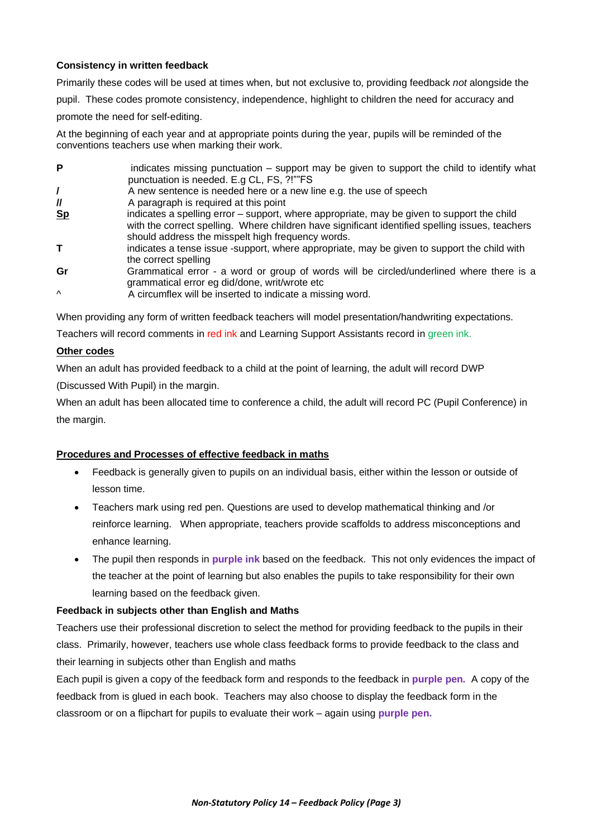#### **Consistency in written feedback**

Primarily these codes will be used at times when, but not exclusive to, providing feedback *not* alongside the pupil. These codes promote consistency, independence, highlight to children the need for accuracy and promote the need for self-editing.

At the beginning of each year and at appropriate points during the year, pupils will be reminded of the conventions teachers use when marking their work.

| P              | indicates missing punctuation – support may be given to support the child to identify what<br>punctuation is needed. E.g CL, FS, ?!""FS                                                                                                            |
|----------------|----------------------------------------------------------------------------------------------------------------------------------------------------------------------------------------------------------------------------------------------------|
|                | A new sentence is needed here or a new line e.g. the use of speech                                                                                                                                                                                 |
| $\prime\prime$ | A paragraph is required at this point                                                                                                                                                                                                              |
| <u>Sp</u>      | indicates a spelling error – support, where appropriate, may be given to support the child<br>with the correct spelling. Where children have significant identified spelling issues, teachers<br>should address the misspelt high frequency words. |
|                | indicates a tense issue -support, where appropriate, may be given to support the child with<br>the correct spelling                                                                                                                                |
| Gr             | Grammatical error - a word or group of words will be circled/underlined where there is a<br>grammatical error eg did/done, writ/wrote etc                                                                                                          |
| $\wedge$       | A circumflex will be inserted to indicate a missing word.                                                                                                                                                                                          |

When providing any form of written feedback teachers will model presentation/handwriting expectations.

Teachers will record comments in red ink and Learning Support Assistants record in green ink.

#### **Other codes**

When an adult has provided feedback to a child at the point of learning, the adult will record DWP

(Discussed With Pupil) in the margin.

When an adult has been allocated time to conference a child, the adult will record PC (Pupil Conference) in the margin.

#### **Procedures and Processes of effective feedback in maths**

- Feedback is generally given to pupils on an individual basis, either within the lesson or outside of lesson time.
- Teachers mark using red pen. Questions are used to develop mathematical thinking and /or reinforce learning. When appropriate, teachers provide scaffolds to address misconceptions and enhance learning.
- The pupil then responds in **purple ink** based on the feedback. This not only evidences the impact of the teacher at the point of learning but also enables the pupils to take responsibility for their own learning based on the feedback given.

#### **Feedback in subjects other than English and Maths**

Teachers use their professional discretion to select the method for providing feedback to the pupils in their class. Primarily, however, teachers use whole class feedback forms to provide feedback to the class and their learning in subjects other than English and maths

Each pupil is given a copy of the feedback form and responds to the feedback in **purple pen.** A copy of the feedback from is glued in each book. Teachers may also choose to display the feedback form in the classroom or on a flipchart for pupils to evaluate their work – again using **purple pen.**